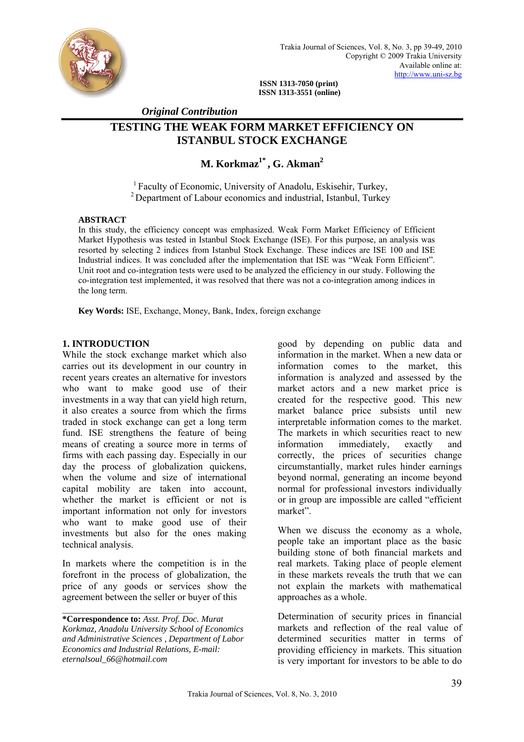

**ISSN 1313-7050 (print) ISSN 1313-3551 (online)** 

 *Original Contribution* 

# **TESTING THE WEAK FORM MARKET EFFICIENCY ON ISTANBUL STOCK EXCHANGE**

# **M. Korkmaz<sup>1\*</sup>, G. Akman<sup>2</sup>**

<sup>1</sup> Faculty of Economic, University of Anadolu, Eskisehir, Turkey, <sup>2</sup> Department of Labour economics and industrial, Istanbul, Turkey

#### **ABSTRACT**

In this study, the efficiency concept was emphasized. Weak Form Market Efficiency of Efficient Market Hypothesis was tested in Istanbul Stock Exchange (ISE). For this purpose, an analysis was resorted by selecting 2 indices from Istanbul Stock Exchange. These indices are ISE 100 and ISE Industrial indices. It was concluded after the implementation that ISE was "Weak Form Efficient". Unit root and co-integration tests were used to be analyzed the efficiency in our study. Following the co-integration test implemented, it was resolved that there was not a co-integration among indices in the long term.

**Key Words:** ISE, Exchange, Money, Bank, Index, foreign exchange

#### **1. INTRODUCTION**

While the stock exchange market which also carries out its development in our country in recent years creates an alternative for investors who want to make good use of their investments in a way that can yield high return, it also creates a source from which the firms traded in stock exchange can get a long term fund. ISE strengthens the feature of being means of creating a source more in terms of firms with each passing day. Especially in our day the process of globalization quickens, when the volume and size of international capital mobility are taken into account, whether the market is efficient or not is important information not only for investors who want to make good use of their investments but also for the ones making technical analysis.

In markets where the competition is in the forefront in the process of globalization, the price of any goods or services show the agreement between the seller or buyer of this

 $\mathcal{L}_\text{max}$ 

good by depending on public data and information in the market. When a new data or information comes to the market, this information is analyzed and assessed by the market actors and a new market price is created for the respective good. This new market balance price subsists until new interpretable information comes to the market. The markets in which securities react to new information immediately, exactly and correctly, the prices of securities change circumstantially, market rules hinder earnings beyond normal, generating an income beyond normal for professional investors individually or in group are impossible are called "efficient market".

When we discuss the economy as a whole, people take an important place as the basic building stone of both financial markets and real markets. Taking place of people element in these markets reveals the truth that we can not explain the markets with mathematical approaches as a whole.

Determination of security prices in financial markets and reflection of the real value of determined securities matter in terms of providing efficiency in markets. This situation is very important for investors to be able to do

**<sup>\*</sup>Correspondence to:** *Asst. Prof. Doc. Murat Korkmaz, Anadolu University School of Economics and Administrative Sciences , Department of Labor Economics and Industrial Relations, E-mail: eternalsoul\_66@hotmail.com*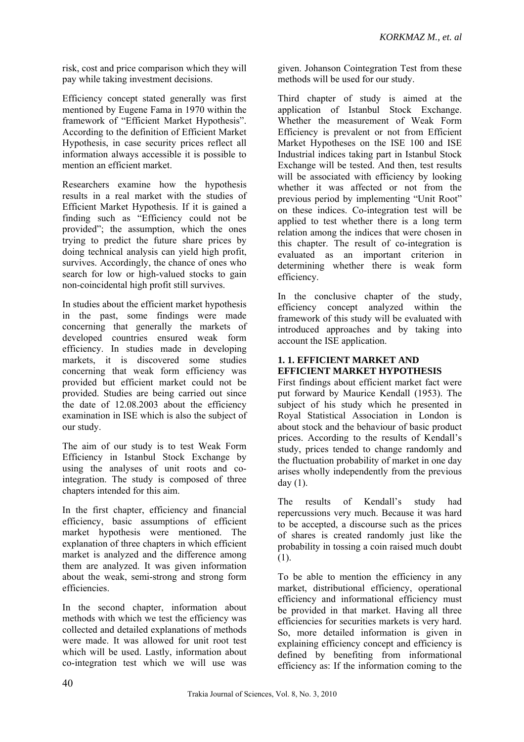risk, cost and price comparison which they will pay while taking investment decisions.

Efficiency concept stated generally was first mentioned by Eugene Fama in 1970 within the framework of "Efficient Market Hypothesis". According to the definition of Efficient Market Hypothesis, in case security prices reflect all information always accessible it is possible to mention an efficient market.

Researchers examine how the hypothesis results in a real market with the studies of Efficient Market Hypothesis. If it is gained a finding such as "Efficiency could not be provided"; the assumption, which the ones trying to predict the future share prices by doing technical analysis can yield high profit, survives. Accordingly, the chance of ones who search for low or high-valued stocks to gain non-coincidental high profit still survives.

In studies about the efficient market hypothesis in the past, some findings were made concerning that generally the markets of developed countries ensured weak form efficiency. In studies made in developing markets, it is discovered some studies concerning that weak form efficiency was provided but efficient market could not be provided. Studies are being carried out since the date of 12.08.2003 about the efficiency examination in ISE which is also the subject of our study.

The aim of our study is to test Weak Form Efficiency in Istanbul Stock Exchange by using the analyses of unit roots and cointegration. The study is composed of three chapters intended for this aim.

In the first chapter, efficiency and financial efficiency, basic assumptions of efficient market hypothesis were mentioned. The explanation of three chapters in which efficient market is analyzed and the difference among them are analyzed. It was given information about the weak, semi-strong and strong form efficiencies.

In the second chapter, information about methods with which we test the efficiency was collected and detailed explanations of methods were made. It was allowed for unit root test which will be used. Lastly, information about co-integration test which we will use was

given. Johanson Cointegration Test from these methods will be used for our study.

Third chapter of study is aimed at the application of Istanbul Stock Exchange. Whether the measurement of Weak Form Efficiency is prevalent or not from Efficient Market Hypotheses on the ISE 100 and ISE Industrial indices taking part in Istanbul Stock Exchange will be tested. And then, test results will be associated with efficiency by looking whether it was affected or not from the previous period by implementing "Unit Root" on these indices. Co-integration test will be applied to test whether there is a long term relation among the indices that were chosen in this chapter. The result of co-integration is evaluated as an important criterion in determining whether there is weak form efficiency.

In the conclusive chapter of the study, efficiency concept analyzed within the framework of this study will be evaluated with introduced approaches and by taking into account the ISE application.

# **1. 1. EFFICIENT MARKET AND EFFICIENT MARKET HYPOTHESIS**

First findings about efficient market fact were put forward by Maurice Kendall (1953). The subject of his study which he presented in Royal Statistical Association in London is about stock and the behaviour of basic product prices. According to the results of Kendall's study, prices tended to change randomly and the fluctuation probability of market in one day arises wholly independently from the previous day (1).

The results of Kendall's study had repercussions very much. Because it was hard to be accepted, a discourse such as the prices of shares is created randomly just like the probability in tossing a coin raised much doubt (1).

To be able to mention the efficiency in any market, distributional efficiency, operational efficiency and informational efficiency must be provided in that market. Having all three efficiencies for securities markets is very hard. So, more detailed information is given in explaining efficiency concept and efficiency is defined by benefiting from informational efficiency as: If the information coming to the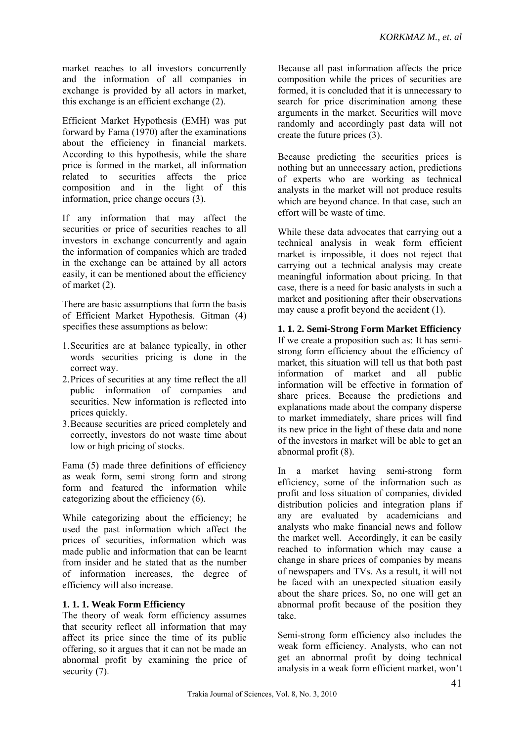market reaches to all investors concurrently and the information of all companies in exchange is provided by all actors in market, this exchange is an efficient exchange (2).

Efficient Market Hypothesis (EMH) was put forward by Fama (1970) after the examinations about the efficiency in financial markets. According to this hypothesis, while the share price is formed in the market, all information related to securities affects the price composition and in the light of this information, price change occurs (3).

If any information that may affect the securities or price of securities reaches to all investors in exchange concurrently and again the information of companies which are traded in the exchange can be attained by all actors easily, it can be mentioned about the efficiency of market (2).

There are basic assumptions that form the basis of Efficient Market Hypothesis. Gitman (4) specifies these assumptions as below:

- 1.Securities are at balance typically, in other words securities pricing is done in the correct way.
- 2.Prices of securities at any time reflect the all public information of companies and securities. New information is reflected into prices quickly.
- 3.Because securities are priced completely and correctly, investors do not waste time about low or high pricing of stocks.

Fama (5) made three definitions of efficiency as weak form, semi strong form and strong form and featured the information while categorizing about the efficiency (6).

While categorizing about the efficiency; he used the past information which affect the prices of securities, information which was made public and information that can be learnt from insider and he stated that as the number of information increases, the degree of efficiency will also increase.

# **1. 1. 1. Weak Form Efficiency**

The theory of weak form efficiency assumes that security reflect all information that may affect its price since the time of its public offering, so it argues that it can not be made an abnormal profit by examining the price of security  $(7)$ .

Because all past information affects the price composition while the prices of securities are formed, it is concluded that it is unnecessary to search for price discrimination among these arguments in the market. Securities will move randomly and accordingly past data will not create the future prices (3).

Because predicting the securities prices is nothing but an unnecessary action, predictions of experts who are working as technical analysts in the market will not produce results which are beyond chance. In that case, such an effort will be waste of time.

While these data advocates that carrying out a technical analysis in weak form efficient market is impossible, it does not reject that carrying out a technical analysis may create meaningful information about pricing. In that case, there is a need for basic analysts in such a market and positioning after their observations may cause a profit beyond the acciden**t** (1).

## **1. 1. 2. Semi-Strong Form Market Efficiency**

If we create a proposition such as: It has semistrong form efficiency about the efficiency of market, this situation will tell us that both past information of market and all public information will be effective in formation of share prices. Because the predictions and explanations made about the company disperse to market immediately, share prices will find its new price in the light of these data and none of the investors in market will be able to get an abnormal profit (8).

In a market having semi-strong form efficiency, some of the information such as profit and loss situation of companies, divided distribution policies and integration plans if any are evaluated by academicians and analysts who make financial news and follow the market well. Accordingly, it can be easily reached to information which may cause a change in share prices of companies by means of newspapers and TVs. As a result, it will not be faced with an unexpected situation easily about the share prices. So, no one will get an abnormal profit because of the position they take.

Semi-strong form efficiency also includes the weak form efficiency. Analysts, who can not get an abnormal profit by doing technical analysis in a weak form efficient market, won't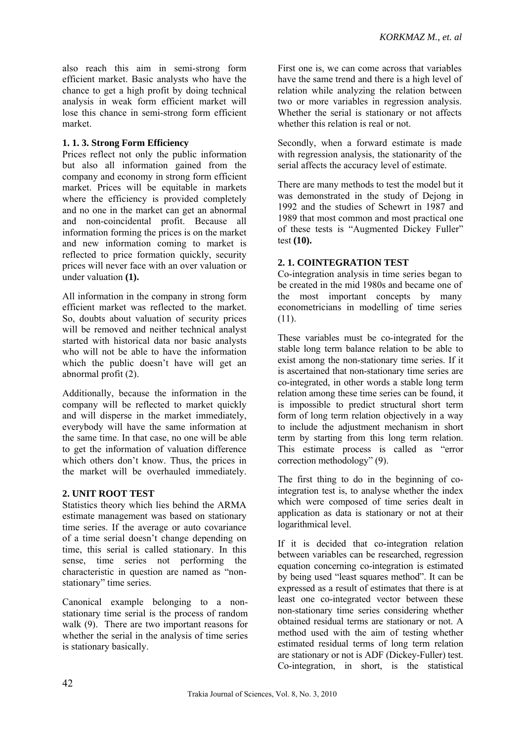also reach this aim in semi-strong form efficient market. Basic analysts who have the chance to get a high profit by doing technical analysis in weak form efficient market will lose this chance in semi-strong form efficient market.

### **1. 1. 3. Strong Form Efficiency**

Prices reflect not only the public information but also all information gained from the company and economy in strong form efficient market. Prices will be equitable in markets where the efficiency is provided completely and no one in the market can get an abnormal and non-coincidental profit. Because all information forming the prices is on the market and new information coming to market is reflected to price formation quickly, security prices will never face with an over valuation or under valuation **(1).** 

All information in the company in strong form efficient market was reflected to the market. So, doubts about valuation of security prices will be removed and neither technical analyst started with historical data nor basic analysts who will not be able to have the information which the public doesn't have will get an abnormal profit (2).

Additionally, because the information in the company will be reflected to market quickly and will disperse in the market immediately, everybody will have the same information at the same time. In that case, no one will be able to get the information of valuation difference which others don't know. Thus, the prices in the market will be overhauled immediately.

### **2. UNIT ROOT TEST**

Statistics theory which lies behind the ARMA estimate management was based on stationary time series. If the average or auto covariance of a time serial doesn't change depending on time, this serial is called stationary. In this sense, time series not performing the characteristic in question are named as "nonstationary" time series.

Canonical example belonging to a nonstationary time serial is the process of random walk (9). There are two important reasons for whether the serial in the analysis of time series is stationary basically.

First one is, we can come across that variables have the same trend and there is a high level of relation while analyzing the relation between two or more variables in regression analysis. Whether the serial is stationary or not affects whether this relation is real or not.

Secondly, when a forward estimate is made with regression analysis, the stationarity of the serial affects the accuracy level of estimate.

There are many methods to test the model but it was demonstrated in the study of Dejong in 1992 and the studies of Schewrt in 1987 and 1989 that most common and most practical one of these tests is "Augmented Dickey Fuller" test **(10).**

# **2. 1. COINTEGRATION TEST**

Co-integration analysis in time series began to be created in the mid 1980s and became one of the most important concepts by many econometricians in modelling of time series (11).

These variables must be co-integrated for the stable long term balance relation to be able to exist among the non-stationary time series. If it is ascertained that non-stationary time series are co-integrated, in other words a stable long term relation among these time series can be found, it is impossible to predict structural short term form of long term relation objectively in a way to include the adjustment mechanism in short term by starting from this long term relation. This estimate process is called as "error correction methodology" (9).

The first thing to do in the beginning of cointegration test is, to analyse whether the index which were composed of time series dealt in application as data is stationary or not at their logarithmical level.

If it is decided that co-integration relation between variables can be researched, regression equation concerning co-integration is estimated by being used "least squares method". It can be expressed as a result of estimates that there is at least one co-integrated vector between these non-stationary time series considering whether obtained residual terms are stationary or not. A method used with the aim of testing whether estimated residual terms of long term relation are stationary or not is ADF (Dickey-Fuller) test. Co-integration, in short, is the statistical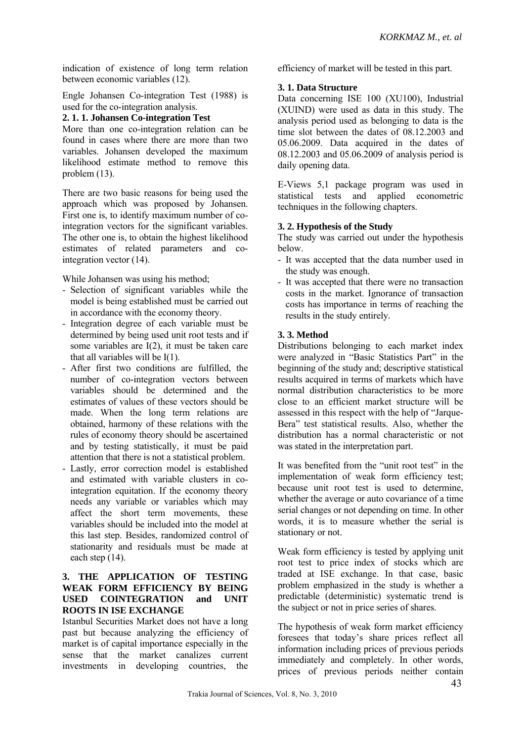indication of existence of long term relation between economic variables (12).

Engle Johansen Co-integration Test (1988) is used for the co-integration analysis.

#### **2. 1. 1. Johansen Co-integration Test**

More than one co-integration relation can be found in cases where there are more than two variables. Johansen developed the maximum likelihood estimate method to remove this problem (13).

There are two basic reasons for being used the approach which was proposed by Johansen. First one is, to identify maximum number of cointegration vectors for the significant variables. The other one is, to obtain the highest likelihood estimates of related parameters and cointegration vector (14).

While Johansen was using his method;

- Selection of significant variables while the model is being established must be carried out in accordance with the economy theory.
- Integration degree of each variable must be determined by being used unit root tests and if some variables are I(2), it must be taken care that all variables will be I(1).
- After first two conditions are fulfilled, the number of co-integration vectors between variables should be determined and the estimates of values of these vectors should be made. When the long term relations are obtained, harmony of these relations with the rules of economy theory should be ascertained and by testing statistically, it must be paid attention that there is not a statistical problem.
- Lastly, error correction model is established and estimated with variable clusters in cointegration equitation. If the economy theory needs any variable or variables which may affect the short term movements, these variables should be included into the model at this last step. Besides, randomized control of stationarity and residuals must be made at each step (14).

### **3. THE APPLICATION OF TESTING WEAK FORM EFFICIENCY BY BEING USED COINTEGRATION and UNIT ROOTS IN ISE EXCHANGE**

Istanbul Securities Market does not have a long past but because analyzing the efficiency of market is of capital importance especially in the sense that the market canalizes current investments in developing countries, the efficiency of market will be tested in this part.

### **3. 1. Data Structure**

Data concerning ISE 100 (XU100), Industrial (XUIND) were used as data in this study. The analysis period used as belonging to data is the time slot between the dates of 08.12.2003 and 05.06.2009. Data acquired in the dates of 08.12.2003 and 05.06.2009 of analysis period is daily opening data.

E-Views 5,1 package program was used in statistical tests and applied econometric techniques in the following chapters.

### **3. 2. Hypothesis of the Study**

The study was carried out under the hypothesis below.

- It was accepted that the data number used in the study was enough.
- It was accepted that there were no transaction costs in the market. Ignorance of transaction costs has importance in terms of reaching the results in the study entirely.

### **3. 3. Method**

Distributions belonging to each market index were analyzed in "Basic Statistics Part" in the beginning of the study and; descriptive statistical results acquired in terms of markets which have normal distribution characteristics to be more close to an efficient market structure will be assessed in this respect with the help of "Jarque-Bera" test statistical results. Also, whether the distribution has a normal characteristic or not was stated in the interpretation part.

It was benefited from the "unit root test" in the implementation of weak form efficiency test; because unit root test is used to determine, whether the average or auto covariance of a time serial changes or not depending on time. In other words, it is to measure whether the serial is stationary or not.

Weak form efficiency is tested by applying unit root test to price index of stocks which are traded at ISE exchange. In that case, basic problem emphasized in the study is whether a predictable (deterministic) systematic trend is the subject or not in price series of shares.

The hypothesis of weak form market efficiency foresees that today's share prices reflect all information including prices of previous periods immediately and completely. In other words, prices of previous periods neither contain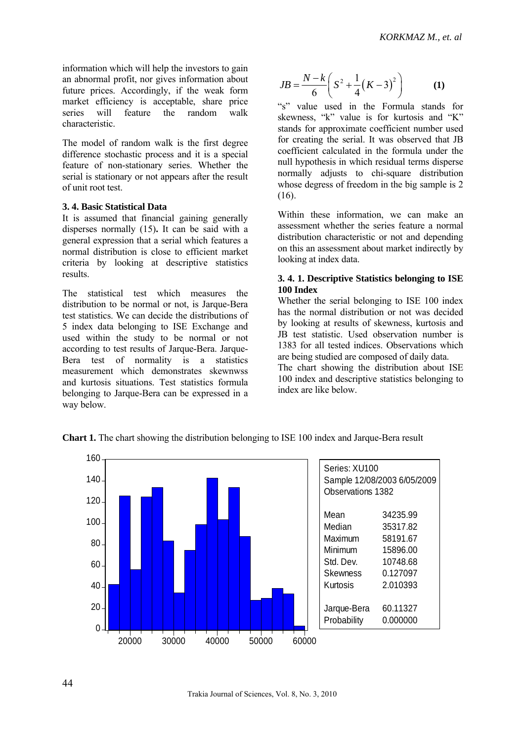information which will help the investors to gain an abnormal profit, nor gives information about future prices. Accordingly, if the weak form market efficiency is acceptable, share price series will feature the random walk characteristic.

The model of random walk is the first degree difference stochastic process and it is a special feature of non-stationary series. Whether the serial is stationary or not appears after the result of unit root test.

#### **3. 4. Basic Statistical Data**

It is assumed that financial gaining generally disperses normally (15)**.** It can be said with a general expression that a serial which features a normal distribution is close to efficient market criteria by looking at descriptive statistics results.

The statistical test which measures the distribution to be normal or not, is Jarque-Bera test statistics. We can decide the distributions of 5 index data belonging to ISE Exchange and used within the study to be normal or not according to test results of Jarque-Bera. Jarque-Bera test of normality is a statistics measurement which demonstrates skewnwss and kurtosis situations. Test statistics formula belonging to Jarque-Bera can be expressed in a way below.

$$
JB = \frac{N - k}{6} \left( S^2 + \frac{1}{4} (K - 3)^2 \right) \tag{1}
$$

"s" value used in the Formula stands for skewness, "k" value is for kurtosis and "K" stands for approximate coefficient number used for creating the serial. It was observed that JB coefficient calculated in the formula under the null hypothesis in which residual terms disperse normally adjusts to chi-square distribution whose degress of freedom in the big sample is 2 (16).

Within these information, we can make an assessment whether the series feature a normal distribution characteristic or not and depending on this an assessment about market indirectly by looking at index data.

#### **3. 4. 1. Descriptive Statistics belonging to ISE 100 Index**

Whether the serial belonging to ISE 100 index has the normal distribution or not was decided by looking at results of skewness, kurtosis and JB test statistic. Used observation number is 1383 for all tested indices. Observations which are being studied are composed of daily data.

The chart showing the distribution about ISE 100 index and descriptive statistics belonging to index are like below.



**Chart 1.** The chart showing the distribution belonging to ISE 100 index and Jarque-Bera result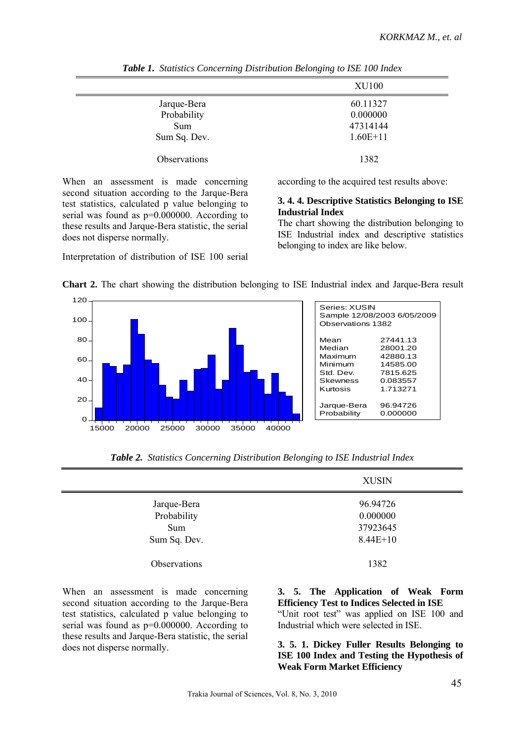| <b>XU100</b> |
|--------------|
| 60.11327     |
| 0.000000     |
| 47314144     |
| $1.60E+11$   |
| 1382         |
|              |

*Table 1. Statistics Concerning Distribution Belonging to ISE 100 Index* 

When an assessment is made concerning second situation according to the Jarque-Bera test statistics, calculated p value belonging to serial was found as p=0.000000. According to these results and Jarque-Bera statistic, the serial does not disperse normally.

Interpretation of distribution of ISE 100 serial

according to the acquired test results above:

#### **3. 4. 4. Descriptive Statistics Belonging to ISE Industrial Index**

The chart showing the distribution belonging to ISE Industrial index and descriptive statistics belonging to index are like below.



**Chart 2.** The chart showing the distribution belonging to ISE Industrial index and Jarque-Bera result

|  |  |  |  |  | Table 2. Statistics Concerning Distribution Belonging to ISE Industrial Index |  |
|--|--|--|--|--|-------------------------------------------------------------------------------|--|
|--|--|--|--|--|-------------------------------------------------------------------------------|--|

|              | <b>XUSIN</b> |
|--------------|--------------|
| Jarque-Bera  | 96.94726     |
| Probability  | 0.000000     |
| Sum          | 37923645     |
| Sum Sq. Dev. | $8.44E+10$   |
| Observations | 1382         |

When an assessment is made concerning second situation according to the Jarque-Bera test statistics, calculated p value belonging to serial was found as p=0.000000. According to these results and Jarque-Bera statistic, the serial does not disperse normally.

# **3. 5. The Application of Weak Form Efficiency Test to Indices Selected in ISE**

"Unit root test" was applied on ISE 100 and Industrial which were selected in ISE.

#### **3. 5. 1. Dickey Fuller Results Belonging to ISE 100 Index and Testing the Hypothesis of Weak Form Market Efficiency**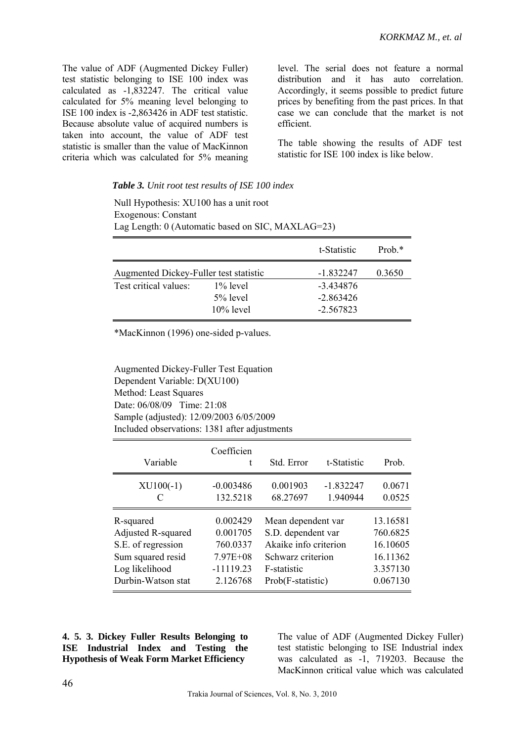The value of ADF (Augmented Dickey Fuller) test statistic belonging to ISE 100 index was calculated as -1,832247. The critical value calculated for 5% meaning level belonging to ISE 100 index is -2,863426 in ADF test statistic. Because absolute value of acquired numbers is taken into account, the value of ADF test statistic is smaller than the value of MacKinnon criteria which was calculated for 5% meaning

level. The serial does not feature a normal distribution and it has auto correlation. Accordingly, it seems possible to predict future prices by benefiting from the past prices. In that case we can conclude that the market is not efficient.

The table showing the results of ADF test statistic for ISE 100 index is like below.

#### *Table 3. Unit root test results of ISE 100 index*

Null Hypothesis: XU100 has a unit root Exogenous: Constant Lag Length: 0 (Automatic based on SIC, MAXLAG=23)

|                                        |              | t-Statistic | Prob. $*$ |
|----------------------------------------|--------------|-------------|-----------|
| Augmented Dickey-Fuller test statistic |              | $-1.832247$ | 0.3650    |
| Test critical values:                  | $1\%$ level  | $-3.434876$ |           |
|                                        | $5\%$ level  | $-2.863426$ |           |
|                                        | $10\%$ level | $-2.567823$ |           |

\*MacKinnon (1996) one-sided p-values.

Augmented Dickey-Fuller Test Equation Dependent Variable: D(XU100) Method: Least Squares Date: 06/08/09 Time: 21:08 Sample (adjusted): 12/09/2003 6/05/2009 Included observations: 1381 after adjustments

| Variable           | Coefficien<br>t | Std. Error            | t-Statistic | Prob.    |
|--------------------|-----------------|-----------------------|-------------|----------|
| $XU100(-1)$        | $-0.003486$     | 0.001903              | $-1.832247$ | 0.0671   |
| C                  | 132.5218        | 68.27697              | 1.940944    | 0.0525   |
| R-squared          | 0.002429        | Mean dependent var    |             | 13.16581 |
| Adjusted R-squared | 0.001705        | S.D. dependent var    |             | 760.6825 |
| S.E. of regression | 760.0337        | Akaike info criterion |             | 16.10605 |
| Sum squared resid  | $7.97E + 08$    | Schwarz criterion     |             | 16.11362 |
| Log likelihood     | $-11119.23$     | F-statistic           |             | 3.357130 |
| Durbin-Watson stat | 2.126768        | Prob(F-statistic)     |             | 0.067130 |

**4. 5. 3. Dickey Fuller Results Belonging to ISE Industrial Index and Testing the Hypothesis of Weak Form Market Efficiency** 

The value of ADF (Augmented Dickey Fuller) test statistic belonging to ISE Industrial index was calculated as -1, 719203. Because the MacKinnon critical value which was calculated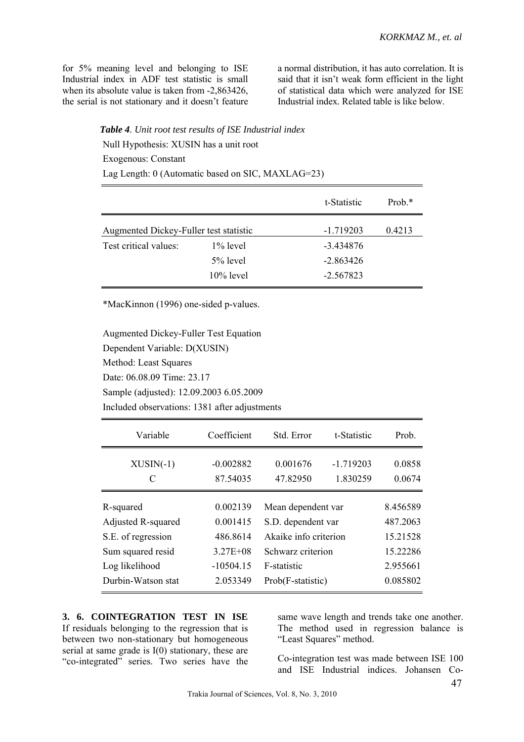for 5% meaning level and belonging to ISE Industrial index in ADF test statistic is small when its absolute value is taken from -2,863426, the serial is not stationary and it doesn't feature a normal distribution, it has auto correlation. It is said that it isn't weak form efficient in the light of statistical data which were analyzed for ISE Industrial index. Related table is like below.

*Table 4. Unit root test results of ISE Industrial index* 

Null Hypothesis: XUSIN has a unit root

Exogenous: Constant

Lag Length: 0 (Automatic based on SIC, MAXLAG=23)

|                                        |              | t-Statistic | Prob. $*$ |
|----------------------------------------|--------------|-------------|-----------|
| Augmented Dickey-Fuller test statistic |              | $-1.719203$ | 0.4213    |
| Test critical values:                  | $1\%$ level  | $-3.434876$ |           |
|                                        | $5%$ level   | $-2.863426$ |           |
|                                        | $10\%$ level | $-2.567823$ |           |

\*MacKinnon (1996) one-sided p-values.

Augmented Dickey-Fuller Test Equation Dependent Variable: D(XUSIN) Method: Least Squares Date: 06.08.09 Time: 23.17 Sample (adjusted): 12.09.2003 6.05.2009 Included observations: 1381 after adjustments

| Variable           | Coefficient  | Std. Error<br>t-Statistic |             | Prob.    |
|--------------------|--------------|---------------------------|-------------|----------|
| $XUSIN(-1)$        | $-0.002882$  | 0.001676                  | $-1.719203$ | 0.0858   |
| C                  | 87.54035     | 47.82950                  | 1.830259    | 0.0674   |
| R-squared          | 0.002139     | Mean dependent var        |             | 8.456589 |
| Adjusted R-squared | 0.001415     | S.D. dependent var        |             | 487.2063 |
| S.E. of regression | 486.8614     | Akaike info criterion     |             | 15.21528 |
| Sum squared resid  | $3.27E + 08$ | Schwarz criterion         |             | 15.22286 |
| Log likelihood     | $-10504.15$  | F-statistic               |             | 2.955661 |
| Durbin-Watson stat | 2.053349     | Prob(F-statistic)         |             | 0.085802 |

**3. 6. COINTEGRATION TEST IN ISE**  If residuals belonging to the regression that is between two non-stationary but homogeneous serial at same grade is I(0) stationary, these are "co-integrated" series. Two series have the same wave length and trends take one another. The method used in regression balance is "Least Squares" method.

Co-integration test was made between ISE 100 and ISE Industrial indices. Johansen Co-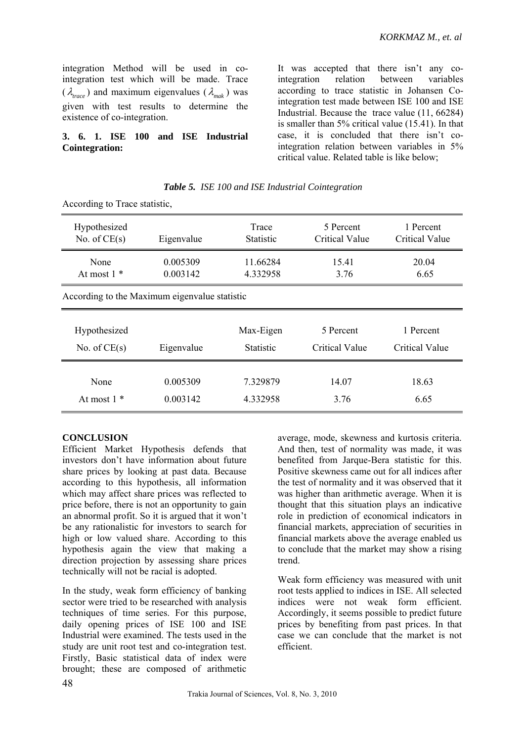integration Method will be used in cointegration test which will be made. Trace  $(\lambda_{\text{trace}})$  and maximum eigenvalues  $(\lambda_{\text{mech}})$  was given with test results to determine the existence of co-integration.

### **3. 6. 1. ISE 100 and ISE Industrial Cointegration:**

It was accepted that there isn't any cointegration relation between variables according to trace statistic in Johansen Cointegration test made between ISE 100 and ISE Industrial. Because the trace value (11, 66284) is smaller than 5% critical value (15.41). In that case, it is concluded that there isn't cointegration relation between variables in 5% critical value. Related table is like below;

|  |  |  |  | Table 5. ISE 100 and ISE Industrial Cointegration |
|--|--|--|--|---------------------------------------------------|
|--|--|--|--|---------------------------------------------------|

| Hypothesized   | Eigenvalue                                    | Trace            | 5 Percent             | 1 Percent      |  |  |  |
|----------------|-----------------------------------------------|------------------|-----------------------|----------------|--|--|--|
| No. of $CE(s)$ |                                               | <b>Statistic</b> | <b>Critical Value</b> | Critical Value |  |  |  |
| None           | 0.005309                                      | 11.66284         | 15.41                 | 20.04          |  |  |  |
| At most $1$ *  | 0.003142                                      | 4.332958         | 3.76                  | 6.65           |  |  |  |
|                | According to the Maximum eigenvalue statistic |                  |                       |                |  |  |  |
| Hypothesized   | Eigenvalue                                    | Max-Eigen        | 5 Percent             | 1 Percent      |  |  |  |
| No. of $CE(s)$ |                                               | <b>Statistic</b> | <b>Critical Value</b> | Critical Value |  |  |  |
| None           | 0.005309                                      | 7.329879         | 14.07                 | 18.63          |  |  |  |
| At most $1 *$  | 0.003142                                      | 4.332958         | 3.76                  | 6.65           |  |  |  |

According to Trace statistic,

# **CONCLUSION**

Efficient Market Hypothesis defends that investors don't have information about future share prices by looking at past data. Because according to this hypothesis, all information which may affect share prices was reflected to price before, there is not an opportunity to gain an abnormal profit. So it is argued that it won't be any rationalistic for investors to search for high or low valued share. According to this hypothesis again the view that making a direction projection by assessing share prices technically will not be racial is adopted.

In the study, weak form efficiency of banking sector were tried to be researched with analysis techniques of time series. For this purpose, daily opening prices of ISE 100 and ISE Industrial were examined. The tests used in the study are unit root test and co-integration test. Firstly, Basic statistical data of index were brought; these are composed of arithmetic

average, mode, skewness and kurtosis criteria. And then, test of normality was made, it was benefited from Jarque-Bera statistic for this. Positive skewness came out for all indices after the test of normality and it was observed that it was higher than arithmetic average. When it is thought that this situation plays an indicative role in prediction of economical indicators in financial markets, appreciation of securities in financial markets above the average enabled us to conclude that the market may show a rising trend.

Weak form efficiency was measured with unit root tests applied to indices in ISE. All selected indices were not weak form efficient. Accordingly, it seems possible to predict future prices by benefiting from past prices. In that case we can conclude that the market is not efficient.